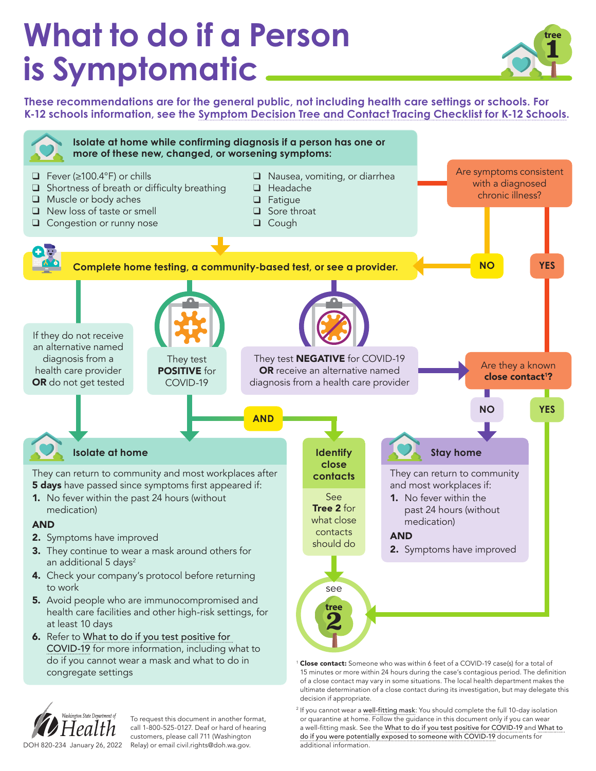## **What to do if a Person is Symptomatic**



**These recommendations are for the general public, not including health care settings or schools. For K-12 schools information, see the [Symptom Decision Tree and Contact Tracing Checklist for K-12 Schools](https://www.doh.wa.gov/Portals/1/Documents/1600/coronavirus/820-229-SymptomDecisionTreeCTChecklistSchools.pdf).**



<sup>2</sup> If you cannot wear a [well-fitting mask](https://www.cdc.gov/coronavirus/2019-ncov/your-health/effective-masks.html): You should complete the full 10-day isolation or quarantine at home. Follow the guidance in this document only if you can wear a well-fitting mask. See the [What to do if you test positive for COVID-19](https://www.doh.wa.gov/Portals/1/Documents/1600/coronavirus/COVIDcasepositive.pdf) and [What](https://www.doh.wa.gov/Portals/1/Documents/1600/coronavirus/COVIDexposed.pdf) to [do if you were potentially exposed to someone with COVID-19](https://www.doh.wa.gov/Portals/1/Documents/1600/coronavirus/COVIDexposed.pdf) documents for

additional information.



To request this document in another format, call 1-800-525-0127. Deaf or hard of hearing customers, please call 711 (Washington DOH 820-234 January 26, 2022 Relay) or email [civil.rights@doh.wa.gov.](mailto:civil.rights%40doh.wa.gov?subject=)